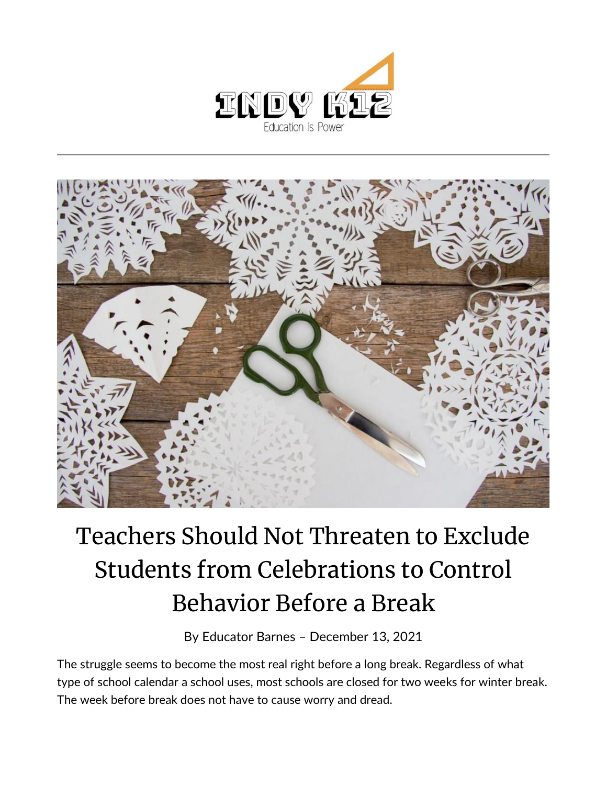



## Teachers Should Not Threaten to Exclude Students from Celebrations to Control Behavior Before a Break

By [Educator Barnes](https://indy.education/author/shicole/) – December 13, 2021

The struggle seems to become the most real right before a long break. Regardless of what type of school calendar a school uses, most schools are closed for two weeks for winter break. The week before break does not have to cause worry and dread.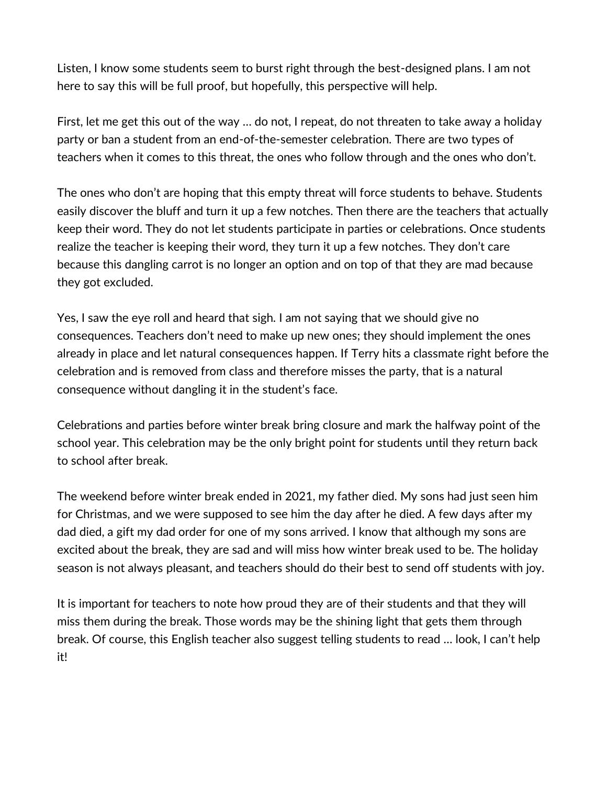Listen, I know some students seem to burst right through the best-designed plans. I am not here to say this will be full proof, but hopefully, this perspective will help.

First, let me get this out of the way … do not, I repeat, do not threaten to take away a holiday party or ban a student from an end-of-the-semester celebration. There are two types of teachers when it comes to this threat, the ones who follow through and the ones who don't.

The ones who don't are hoping that this empty threat will force students to behave. Students easily discover the bluff and turn it up a few notches. Then there are the teachers that actually keep their word. They do not let students participate in parties or celebrations. Once students realize the teacher is keeping their word, they turn it up a few notches. They don't care because this dangling carrot is no longer an option and on top of that they are mad because they got excluded.

Yes, I saw the eye roll and heard that sigh. I am not saying that we should give no consequences. Teachers don't need to make up new ones; they should implement the ones already in place and let natural consequences happen. If Terry hits a classmate right before the celebration and is removed from class and therefore misses the party, that is a natural consequence without dangling it in the student's face.

Celebrations and parties before winter break bring closure and mark the halfway point of the school year. This celebration may be the only bright point for students until they return back to school after break.

The weekend before winter break ended in 2021, my father died. My sons had just seen him for Christmas, and we were supposed to see him the day after he died. A few days after my dad died, a gift my dad order for one of my sons arrived. I know that although my sons are excited about the break, they are sad and will miss how winter break used to be. The holiday season is not always pleasant, and teachers should do their best to send off students with joy.

It is important for teachers to note how proud they are of their students and that they will miss them during the break. Those words may be the shining light that gets them through break. Of course, this English teacher also suggest telling students to read … look, I can't help it!